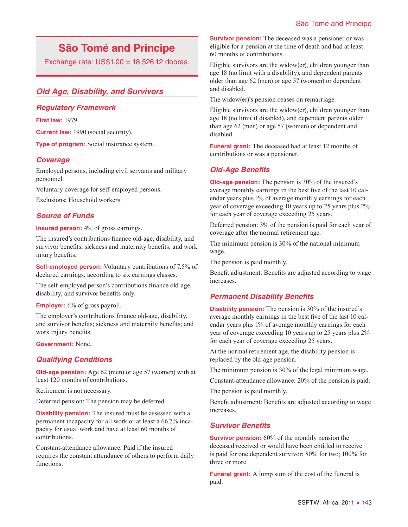# **São Tomé and Principe**

Exchange rate: US\$1.00 = 18,526.12 dobras.

## *Old Age, Disability, and Survivors*

#### *Regulatory Framework*

**First law:** 1979.

**Current law:** 1990 (social security).

**Type of program:** Social insurance system.

## *Coverage*

Employed persons, including civil servants and military personnel.

Voluntary coverage for self-employed persons. Exclusions: Household workers.

## *Source of Funds*

**Insured person:** 4% of gross earnings.

The insured's contributions finance old-age, disability, and survivor benefits; sickness and maternity benefits; and work injury benefits.

**Self-employed person:** Voluntary contributions of 7.5% of declared earnings, according to six earnings classes.

The self-employed person's contributions finance old-age, disability, and survivor benefits only.

**Employer:** 6% of gross payroll.

The employer's contributions finance old-age, disability, and survivor benefits; sickness and maternity benefits; and work injury benefits.

**Government:** None.

## *Qualifying Conditions*

**Old-age pension:** Age 62 (men) or age 57 (women) with at least 120 months of contributions.

Retirement is not necessary.

Deferred pension: The pension may be deferred.

**Disability pension:** The insured must be assessed with a permanent incapacity for all work or at least a 66.7% incapacity for usual work and have at least 60 months of contributions.

Constant-attendance allowance: Paid if the insured requires the constant attendance of others to perform daily functions.

**Survivor pension:** The deceased was a pensioner or was eligible for a pension at the time of death and had at least 60 months of contributions.

Eligible survivors are the widow(er), children younger than age 18 (no limit with a disability), and dependent parents older than age 62 (men) or age 57 (women) or dependent and disabled.

The widow(er)'s pension ceases on remarriage.

Eligible survivors are the widow(er), children younger than age 18 (no limit if disabled), and dependent parents older than age 62 (men) or age 57 (women) or dependent and disabled.

**Funeral grant:** The deceased had at least 12 months of contributions or was a pensioner.

## *Old-Age Benefits*

**Old-age pension:** The pension is 30% of the insured's average monthly earnings in the best five of the last 10 calendar years plus 1% of average monthly earnings for each year of coverage exceeding 10 years up to 25 years plus 2% for each year of coverage exceeding 25 years.

Deferred pension: 3% of the pension is paid for each year of coverage after the normal retirement age.

The minimum pension is 30% of the national minimum wage.

The pension is paid monthly.

Benefit adjustment: Benefits are adjusted according to wage increases.

## *Permanent Disability Benefits*

**Disability pension:** The pension is 30% of the insured's average monthly earnings in the best five of the last 10 calendar years plus 1% of average monthly earnings for each year of coverage exceeding 10 years up to 25 years plus 2% for each year of coverage exceeding 25 years.

At the normal retirement age, the disability pension is replaced by the old-age pension.

The minimum pension is 30% of the legal minimum wage.

Constant-attendance allowance: 20% of the pension is paid.

The pension is paid monthly.

Benefit adjustment: Benefits are adjusted according to wage increases.

## *Survivor Benefits*

**Survivor pension:** 60% of the monthly pension the deceased received or would have been entitled to receive is paid for one dependent survivor; 80% for two; 100% for three or more.

**Funeral grant:** A lump sum of the cost of the funeral is paid.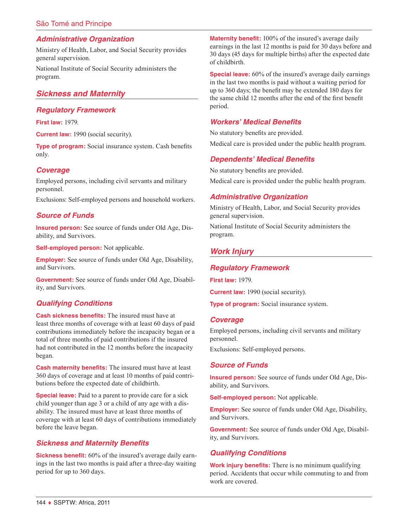## São Tomé and Principe

#### *Administrative Organization*

Ministry of Health, Labor, and Social Security provides general supervision.

National Institute of Social Security administers the program.

## *Sickness and Maternity*

#### *Regulatory Framework*

**First law:** 1979.

**Current law:** 1990 (social security).

**Type of program:** Social insurance system. Cash benefits only.

#### *Coverage*

Employed persons, including civil servants and military personnel.

Exclusions: Self-employed persons and household workers.

#### *Source of Funds*

**Insured person:** See source of funds under Old Age, Disability, and Survivors.

**Self-employed person:** Not applicable.

**Employer:** See source of funds under Old Age, Disability, and Survivors.

**Government:** See source of funds under Old Age, Disability, and Survivors.

## *Qualifying Conditions*

**Cash sickness benefits:** The insured must have at least three months of coverage with at least 60 days of paid contributions immediately before the incapacity began or a total of three months of paid contributions if the insured had not contributed in the 12 months before the incapacity began.

**Cash maternity benefits:** The insured must have at least 360 days of coverage and at least 10 months of paid contributions before the expected date of childbirth.

**Special leave:** Paid to a parent to provide care for a sick child younger than age 3 or a child of any age with a disability. The insured must have at least three months of coverage with at least 60 days of contributions immediately before the leave began.

#### *Sickness and Maternity Benefits*

**Sickness benefit:** 60% of the insured's average daily earnings in the last two months is paid after a three-day waiting period for up to 360 days.

**Maternity benefit:** 100% of the insured's average daily earnings in the last 12 months is paid for 30 days before and 30 days (45 days for multiple births) after the expected date of childbirth.

**Special leave:** 60% of the insured's average daily earnings in the last two months is paid without a waiting period for up to 360 days; the benefit may be extended 180 days for the same child 12 months after the end of the first benefit period.

#### *Workers' Medical Benefits*

No statutory benefits are provided.

Medical care is provided under the public health program.

#### *Dependents' Medical Benefits*

No statutory benefits are provided. Medical care is provided under the public health program.

#### *Administrative Organization*

Ministry of Health, Labor, and Social Security provides general supervision.

National Institute of Social Security administers the program.

#### *Work Injury*

#### *Regulatory Framework*

**First law:** 1979.

**Current law:** 1990 (social security).

**Type of program:** Social insurance system.

#### *Coverage*

Employed persons, including civil servants and military personnel.

Exclusions: Self-employed persons.

#### *Source of Funds*

**Insured person:** See source of funds under Old Age, Disability, and Survivors.

**Self-employed person:** Not applicable.

**Employer:** See source of funds under Old Age, Disability, and Survivors.

**Government:** See source of funds under Old Age, Disability, and Survivors.

#### *Qualifying Conditions*

**Work injury benefits:** There is no minimum qualifying period. Accidents that occur while commuting to and from work are covered.